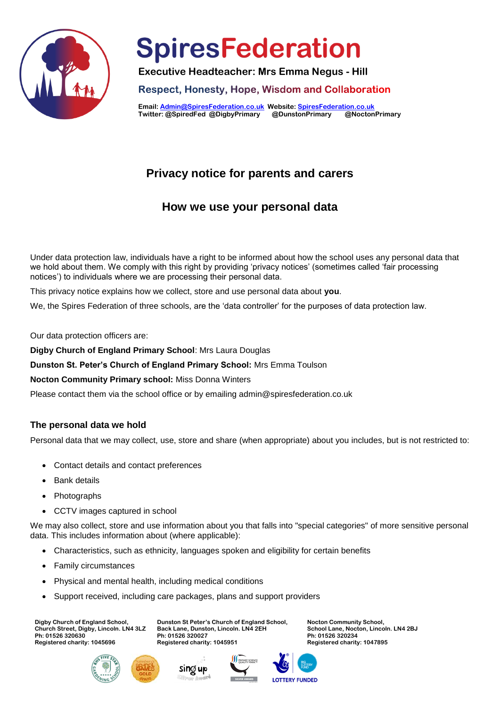

**Executive Headteacher: Mrs Emma Negus - Hill**

**Respect, Honesty, Hope, Wisdom and Collaboration** 

**Email[: Admin@SpiresFederation.co.uk](mailto:Admin@SpiresFederation.co.uk) Website[: SpiresFederation.co.uk](http://www.spiresfederation.co.uk/) Twitter: @SpiredFed @DigbyPrimary @DunstonPrimary @NoctonPrimary**

## **Privacy notice for parents and carers**

## **How we use your personal data**

Under data protection law, individuals have a right to be informed about how the school uses any personal data that we hold about them. We comply with this right by providing 'privacy notices' (sometimes called 'fair processing notices') to individuals where we are processing their personal data.

This privacy notice explains how we collect, store and use personal data about **you**.

We, the Spires Federation of three schools, are the 'data controller' for the purposes of data protection law.

Our data protection officers are:

**Digby Church of England Primary School**: Mrs Laura Douglas

**Dunston St. Peter's Church of England Primary School:** Mrs Emma Toulson

**Nocton Community Primary school:** Miss Donna Winters

Please contact them via the school office or by emailing admin@spiresfederation.co.uk

### **The personal data we hold**

Personal data that we may collect, use, store and share (when appropriate) about you includes, but is not restricted to:

- Contact details and contact preferences
- Bank details
- Photographs
- CCTV images captured in school

We may also collect, store and use information about you that falls into "special categories" of more sensitive personal data. This includes information about (where applicable):

- Characteristics, such as ethnicity, languages spoken and eligibility for certain benefits
- Family circumstances
- Physical and mental health, including medical conditions
- Support received, including care packages, plans and support providers

**Digby Church of England School, Church Street, Digby, Lincoln. LN4 3LZ Ph: 01526 320630 Registered charity: 1045696**

**Dunston St Peter's Church of England School, Back Lane, Dunston, Lincoln. LN4 2EH Ph: 01526 320027 Registered charity: 1045951** 









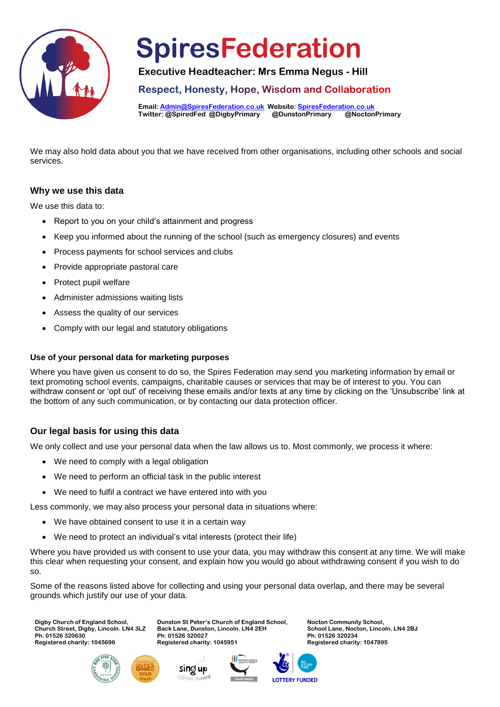

**Executive Headteacher: Mrs Emma Negus - Hill**

**Respect, Honesty, Hope, Wisdom and Collaboration** 

**Email[: Admin@SpiresFederation.co.uk](mailto:Admin@SpiresFederation.co.uk) Website[: SpiresFederation.co.uk](http://www.spiresfederation.co.uk/) Twitter: @SpiredFed @DigbyPrimary @DunstonPrimary @NoctonPrimary**

We may also hold data about you that we have received from other organisations, including other schools and social services.

#### **Why we use this data**

We use this data to:

- Report to you on your child's attainment and progress
- Keep you informed about the running of the school (such as emergency closures) and events
- Process payments for school services and clubs
- Provide appropriate pastoral care
- Protect pupil welfare
- Administer admissions waiting lists
- Assess the quality of our services
- Comply with our legal and statutory obligations

#### **Use of your personal data for marketing purposes**

Where you have given us consent to do so, the Spires Federation may send you marketing information by email or text promoting school events, campaigns, charitable causes or services that may be of interest to you. You can withdraw consent or 'opt out' of receiving these emails and/or texts at any time by clicking on the 'Unsubscribe' link at the bottom of any such communication, or by contacting our data protection officer.

### **Our legal basis for using this data**

We only collect and use your personal data when the law allows us to. Most commonly, we process it where:

- We need to comply with a legal obligation
- We need to perform an official task in the public interest
- We need to fulfil a contract we have entered into with you

Less commonly, we may also process your personal data in situations where:

- We have obtained consent to use it in a certain way
- We need to protect an individual's vital interests (protect their life)

Where you have provided us with consent to use your data, you may withdraw this consent at any time. We will make this clear when requesting your consent, and explain how you would go about withdrawing consent if you wish to do so.

Some of the reasons listed above for collecting and using your personal data overlap, and there may be several grounds which justify our use of your data.

> **Dunston St Peter's Church of England School, Back Lane, Dunston, Lincoln. LN4 2EH**

**Digby Church of England School, Church Street, Digby, Lincoln. LN4 3LZ Ph: 01526 320630 Registered charity: 1045696**





**Ph: 01526 320027 Registered charity: 1045951** 



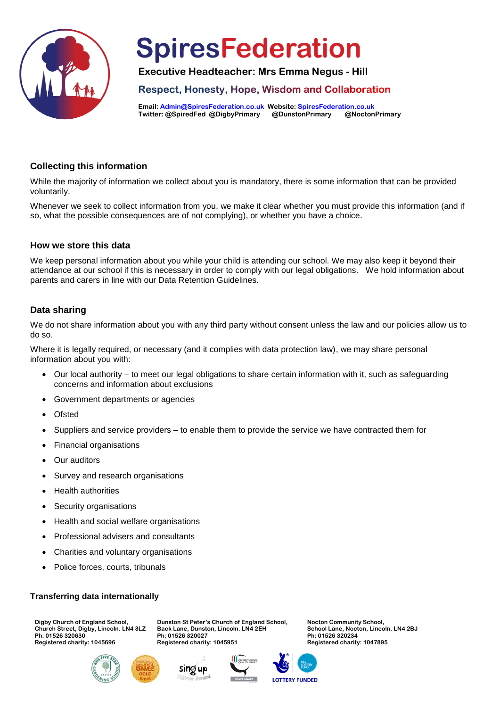

**Executive Headteacher: Mrs Emma Negus - Hill**

**Respect, Honesty, Hope, Wisdom and Collaboration** 

**Email[: Admin@SpiresFederation.co.uk](mailto:Admin@SpiresFederation.co.uk) Website[: SpiresFederation.co.uk](http://www.spiresfederation.co.uk/) Twitter: @SpiredFed @DigbyPrimary @DunstonPrimary @NoctonPrimary**

#### **Collecting this information**

While the majority of information we collect about you is mandatory, there is some information that can be provided voluntarily.

Whenever we seek to collect information from you, we make it clear whether you must provide this information (and if so, what the possible consequences are of not complying), or whether you have a choice.

#### **How we store this data**

We keep personal information about you while your child is attending our school. We may also keep it beyond their attendance at our school if this is necessary in order to comply with our legal obligations. We hold information about parents and carers in line with our Data Retention Guidelines.

### **Data sharing**

We do not share information about you with any third party without consent unless the law and our policies allow us to do so.

Where it is legally required, or necessary (and it complies with data protection law), we may share personal information about you with:

- Our local authority to meet our legal obligations to share certain information with it, such as safeguarding concerns and information about exclusions
- Government departments or agencies
- Ofsted
- Suppliers and service providers to enable them to provide the service we have contracted them for
- Financial organisations
- Our auditors
- Survey and research organisations
- Health authorities
- Security organisations
- Health and social welfare organisations
- Professional advisers and consultants
- Charities and voluntary organisations
- Police forces, courts, tribunals

#### **Transferring data internationally**

**Digby Church of England School, Church Street, Digby, Lincoln. LN4 3LZ Ph: 01526 320630 Registered charity: 1045696**

**Dunston St Peter's Church of England School, Back Lane, Dunston, Lincoln. LN4 2EH Ph: 01526 320027 Registered charity: 1045951** 







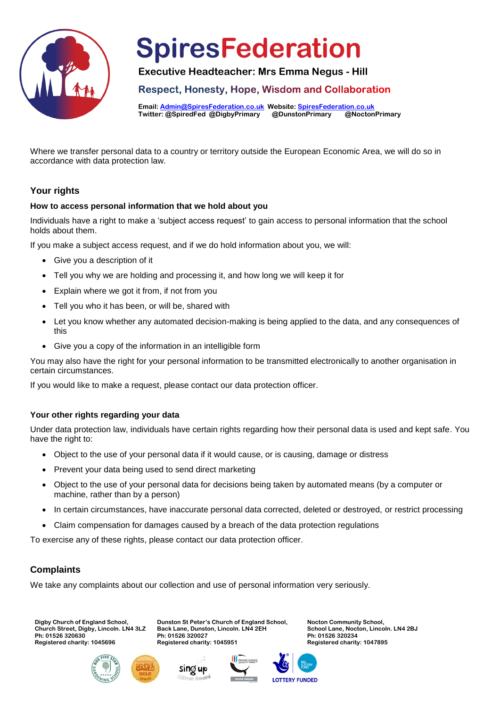

**Executive Headteacher: Mrs Emma Negus - Hill**

**Respect, Honesty, Hope, Wisdom and Collaboration** 

**Email[: Admin@SpiresFederation.co.uk](mailto:Admin@SpiresFederation.co.uk) Website[: SpiresFederation.co.uk](http://www.spiresfederation.co.uk/) Twitter: @SpiredFed @DigbyPrimary @DunstonPrimary @NoctonPrimary**

Where we transfer personal data to a country or territory outside the European Economic Area, we will do so in accordance with data protection law.

### **Your rights**

#### **How to access personal information that we hold about you**

Individuals have a right to make a 'subject access request' to gain access to personal information that the school holds about them.

If you make a subject access request, and if we do hold information about you, we will:

- Give you a description of it
- Tell you why we are holding and processing it, and how long we will keep it for
- Explain where we got it from, if not from you
- Tell you who it has been, or will be, shared with
- Let you know whether any automated decision-making is being applied to the data, and any consequences of this
- Give you a copy of the information in an intelligible form

You may also have the right for your personal information to be transmitted electronically to another organisation in certain circumstances.

If you would like to make a request, please contact our data protection officer.

#### **Your other rights regarding your data**

Under data protection law, individuals have certain rights regarding how their personal data is used and kept safe. You have the right to:

- Object to the use of your personal data if it would cause, or is causing, damage or distress
- Prevent your data being used to send direct marketing
- Object to the use of your personal data for decisions being taken by automated means (by a computer or machine, rather than by a person)
- In certain circumstances, have inaccurate personal data corrected, deleted or destroyed, or restrict processing
- Claim compensation for damages caused by a breach of the data protection regulations

To exercise any of these rights, please contact our data protection officer.

### **Complaints**

We take any complaints about our collection and use of personal information very seriously.

**Dunston St Peter's Church of England School, Back Lane, Dunston, Lincoln. LN4 2EH**

**Digby Church of England School, Church Street, Digby, Lincoln. LN4 3LZ Ph: 01526 320630 Registered charity: 1045696**





**Ph: 01526 320027 Registered charity: 1045951**